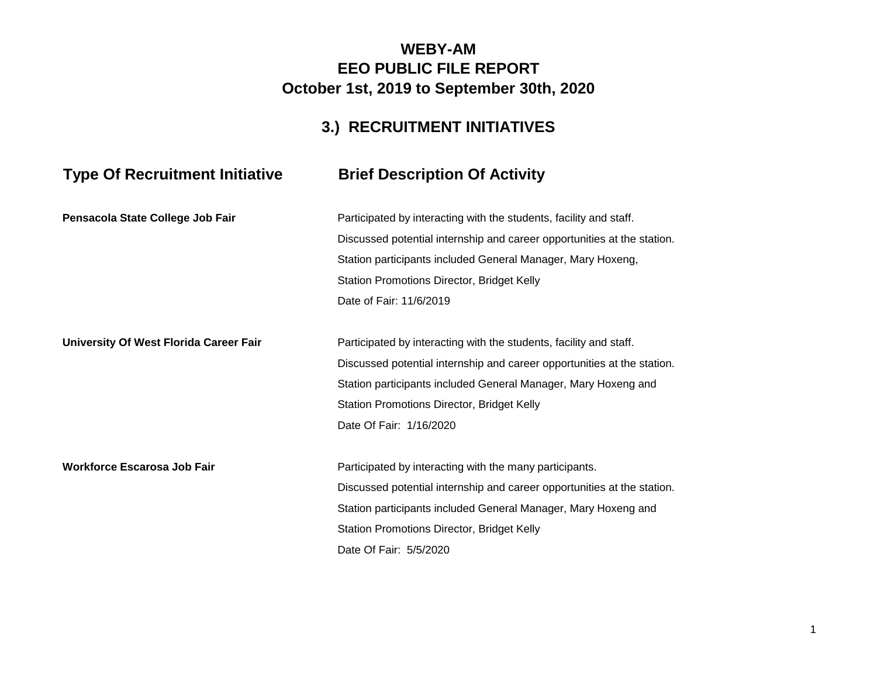### **WEBY-AM EEO PUBLIC FILE REPORT October 1st, 2019 to September 30th, 2020**

## **3.) RECRUITMENT INITIATIVES**

# **Type Of Recruitment Initiative Brief Description Of Activity**

| Pensacola State College Job Fair       | Participated by interacting with the students, facility and staff.      |
|----------------------------------------|-------------------------------------------------------------------------|
|                                        | Discussed potential internship and career opportunities at the station. |
|                                        | Station participants included General Manager, Mary Hoxeng,             |
|                                        | Station Promotions Director, Bridget Kelly                              |
|                                        | Date of Fair: 11/6/2019                                                 |
| University Of West Florida Career Fair | Participated by interacting with the students, facility and staff.      |
|                                        | Discussed potential internship and career opportunities at the station. |
|                                        | Station participants included General Manager, Mary Hoxeng and          |
|                                        | Station Promotions Director, Bridget Kelly                              |
|                                        | Date Of Fair: 1/16/2020                                                 |
| <b>Workforce Escarosa Job Fair</b>     | Participated by interacting with the many participants.                 |
|                                        | Discussed potential internship and career opportunities at the station. |
|                                        | Station participants included General Manager, Mary Hoxeng and          |
|                                        | Station Promotions Director, Bridget Kelly                              |
|                                        | Date Of Fair: 5/5/2020                                                  |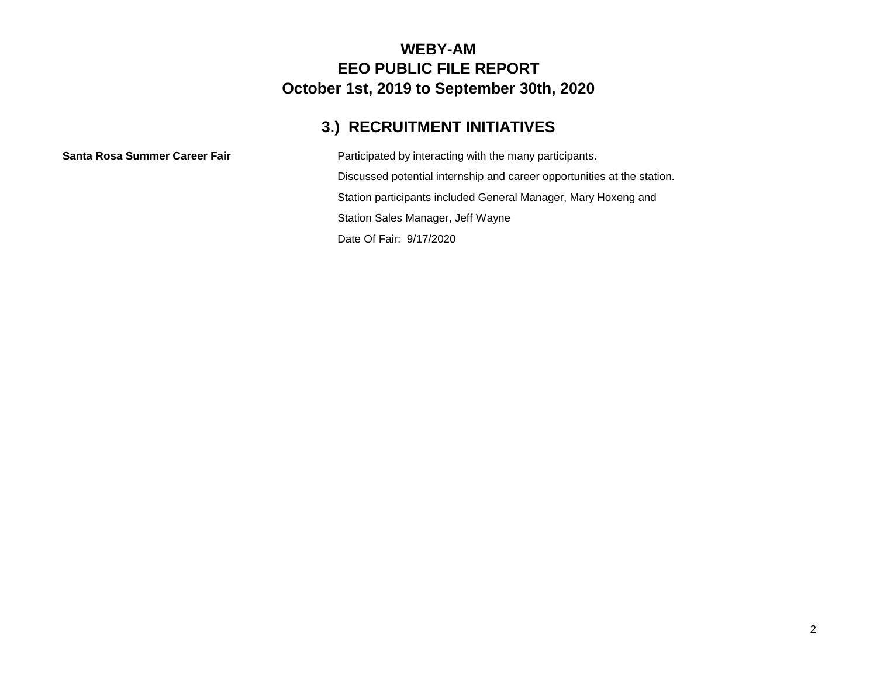#### **WEBY-AM EEO PUBLIC FILE REPORT October 1st, 2019 to September 30th, 2020**

## **3.) RECRUITMENT INITIATIVES**

**Santa Rosa Summer Career Fair** Participated by interacting with the many participants. Discussed potential internship and career opportunities at the station. Station participants included General Manager, Mary Hoxeng and Station Sales Manager, Jeff Wayne Date Of Fair: 9/17/2020